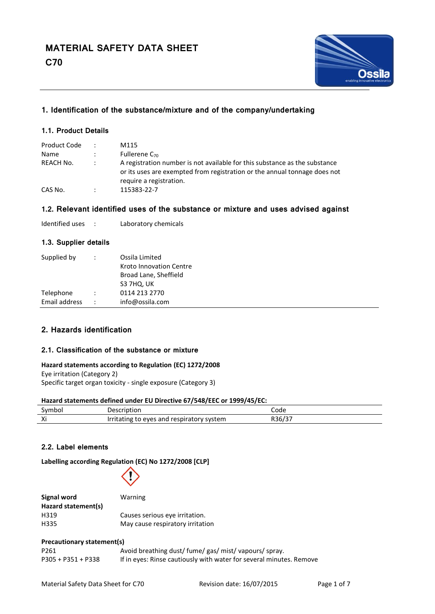

# **1. Identification of the substance/mixture and of the company/undertaking**

### **1.1. Product Details**

| Product Code | M115                                                                                                                                                                               |
|--------------|------------------------------------------------------------------------------------------------------------------------------------------------------------------------------------|
| Name         | Fullerene $C_{70}$                                                                                                                                                                 |
| REACH No.    | A registration number is not available for this substance as the substance<br>or its uses are exempted from registration or the annual tonnage does not<br>require a registration. |
| CAS No.      | 115383-22-7                                                                                                                                                                        |

### **1.2. Relevant identified uses of the substance or mixture and uses advised against**

| Identified uses |  | Laboratory chemicals |
|-----------------|--|----------------------|
|-----------------|--|----------------------|

#### **1.3. Supplier details**

| Supplied by   | $\ddot{\phantom{a}}$ | Ossila Limited          |
|---------------|----------------------|-------------------------|
|               |                      | Kroto Innovation Centre |
|               |                      | Broad Lane, Sheffield   |
|               |                      | S3 7HQ, UK              |
| Telephone     | $\ddot{\phantom{a}}$ | 0114 213 2770           |
| Email address | $\ddot{\cdot}$       | info@ossila.com         |

### **2. Hazards identification**

#### **2.1. Classification of the substance or mixture**

#### **Hazard statements according to Regulation (EC) 1272/2008**

Eye irritation (Category 2) Specific target organ toxicity - single exposure (Category 3)

#### **Hazard statements defined under EU Directive 67/548/EEC or 1999/45/EC:**

| Symbol | Description                                        | Code   |
|--------|----------------------------------------------------|--------|
| Xi     | Irritating to<br>respiratory system<br>and<br>eves | R36/37 |

#### **2.2. Label elements**

**Labelling according Regulation (EC) No 1272/2008 [CLP]**



| Signal word         | Warning                          |
|---------------------|----------------------------------|
| Hazard statement(s) |                                  |
| H319                | Causes serious eve irritation.   |
| H335                | May cause respiratory irritation |

#### **Precautionary statement(s)**

| P <sub>261</sub>     | Avoid breathing dust/ fume/ gas/ mist/ vapours/ spray.              |
|----------------------|---------------------------------------------------------------------|
| $P305 + P351 + P338$ | If in eyes: Rinse cautiously with water for several minutes. Remove |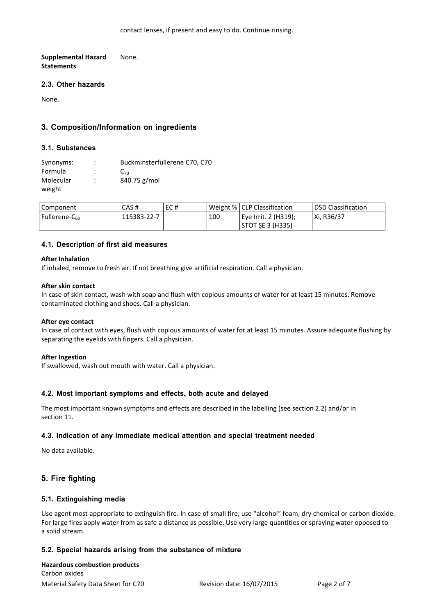**Supplemental Hazard None. Statements**

### **2.3. Other hazards**

None.

### **3. Composition/Information on ingredients**

### **3.1. Substances**

| Synonyms: | Buckminsterfullerene C70, C70 |
|-----------|-------------------------------|
| Formula   | $C_{70}$                      |
| Molecular | 840.75 g/mol                  |
| weight    |                               |

| Component           | CAS #       | EC# |     | Weight %   CLP Classification | <b>DSD Classification</b> |
|---------------------|-------------|-----|-----|-------------------------------|---------------------------|
| Fullerene- $C_{60}$ | 115383-22-7 |     | 100 | Eye Irrit. 2 (H319);          | Xi, R36/37                |
|                     |             |     |     | STOT SE 3 (H335)              |                           |

#### **4.1. Description of first aid measures**

#### **After Inhalation**

If inhaled, remove to fresh air. If not breathing give artificial respiration. Call a physician.

### **After skin contact**

In case of skin contact, wash with soap and flush with copious amounts of water for at least 15 minutes. Remove contaminated clothing and shoes. Call a physician.

#### **After eye contact**

In case of contact with eyes, flush with copious amounts of water for at least 15 minutes. Assure adequate flushing by separating the eyelids with fingers. Call a physician.

#### **After Ingestion**

If swallowed, wash out mouth with water. Call a physician.

#### **4.2. Most important symptoms and effects, both acute and delayed**

The most important known symptoms and effects are described in the labelling (see section 2.2) and/or in section 11.

#### **4.3. Indication of any immediate medical attention and special treatment needed**

No data available.

### **5. Fire fighting**

#### **5.1. Extinguishing media**

Use agent most appropriate to extinguish fire. In case of small fire, use "alcohol" foam, dry chemical or carbon dioxide. For large fires apply water from as safe a distance as possible. Use very large quantities or spraying water opposed to a solid stream.

#### **5.2. Special hazards arising from the substance of mixture**

### Material Safety Data Sheet for C70 Revision date: 16/07/2015 Page 2 of 7 **Hazardous combustion products** Carbon oxides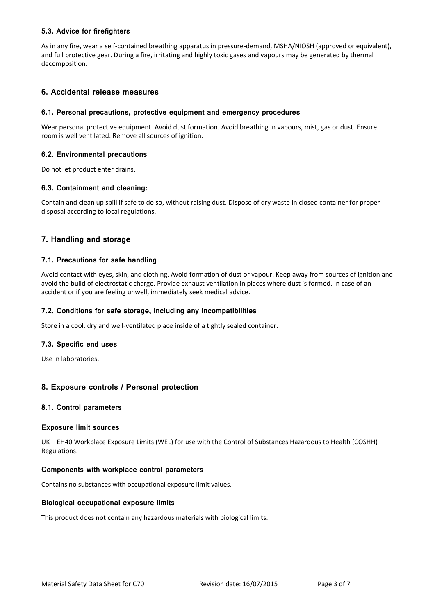### **5.3. Advice for firefighters**

As in any fire, wear a self-contained breathing apparatus in pressure-demand, MSHA/NIOSH (approved or equivalent), and full protective gear. During a fire, irritating and highly toxic gases and vapours may be generated by thermal decomposition.

### **6. Accidental release measures**

#### **6.1. Personal precautions, protective equipment and emergency procedures**

Wear personal protective equipment. Avoid dust formation. Avoid breathing in vapours, mist, gas or dust. Ensure room is well ventilated. Remove all sources of ignition.

### **6.2. Environmental precautions**

Do not let product enter drains.

### **6.3. Containment and cleaning:**

Contain and clean up spill if safe to do so, without raising dust. Dispose of dry waste in closed container for proper disposal according to local regulations.

# **7. Handling and storage**

### **7.1. Precautions for safe handling**

Avoid contact with eyes, skin, and clothing. Avoid formation of dust or vapour. Keep away from sources of ignition and avoid the build of electrostatic charge. Provide exhaust ventilation in places where dust is formed. In case of an accident or if you are feeling unwell, immediately seek medical advice.

#### **7.2. Conditions for safe storage, including any incompatibilities**

Store in a cool, dry and well-ventilated place inside of a tightly sealed container.

#### **7.3. Specific end uses**

Use in laboratories.

### **8. Exposure controls / Personal protection**

#### **8.1. Control parameters**

#### **Exposure limit sources**

UK – EH40 Workplace Exposure Limits (WEL) for use with the Control of Substances Hazardous to Health (COSHH) Regulations.

#### **Components with workplace control parameters**

Contains no substances with occupational exposure limit values.

#### **Biological occupational exposure limits**

This product does not contain any hazardous materials with biological limits.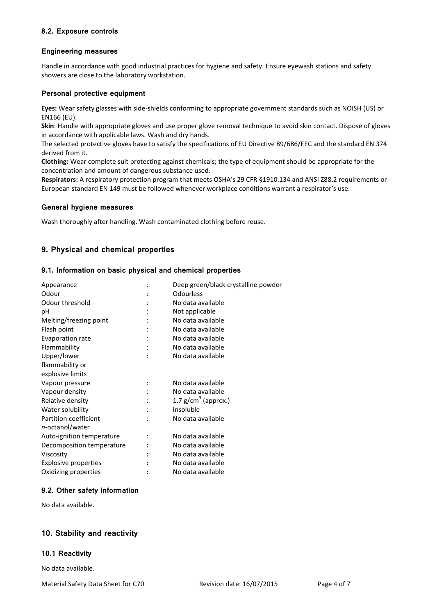### **8.2. Exposure controls**

#### **Engineering measures**

Handle in accordance with good industrial practices for hygiene and safety. Ensure eyewash stations and safety showers are close to the laboratory workstation.

#### **Personal protective equipment**

**Eyes:** Wear safety glasses with side-shields conforming to appropriate government standards such as NOISH (US) or EN166 (EU).

**Skin**: Handle with appropriate gloves and use proper glove removal technique to avoid skin contact. Dispose of gloves in accordance with applicable laws. Wash and dry hands.

The selected protective gloves have to satisfy the specifications of EU Directive 89/686/EEC and the standard EN 374 derived from it.

**Clothing:** Wear complete suit protecting against chemicals; the type of equipment should be appropriate for the concentration and amount of dangerous substance used.

**Respirators:** A respiratory protection program that meets OSHA's 29 CFR §1910.134 and ANSI Z88.2 requirements or European standard EN 149 must be followed whenever workplace conditions warrant a respirator's use.

#### **General hygiene measures**

Wash thoroughly after handling. Wash contaminated clothing before reuse.

# **9. Physical and chemical properties**

#### **9.1. Information on basic physical and chemical properties**

| Appearance                  | Deep green/black crystalline powder |
|-----------------------------|-------------------------------------|
| Odour                       | <b>Odourless</b>                    |
| Odour threshold             | No data available                   |
| рH                          | Not applicable                      |
| Melting/freezing point      | No data available                   |
| Flash point                 | No data available                   |
| Evaporation rate            | No data available                   |
| Flammability                | No data available                   |
| Upper/lower                 | No data available                   |
| flammability or             |                                     |
| explosive limits            |                                     |
| Vapour pressure             | No data available                   |
| Vapour density              | No data available                   |
| Relative density            | 1.7 $g/cm3$ (approx.)               |
| Water solubility            | Insoluble                           |
| Partition coefficient       | No data available                   |
| n-octanol/water             |                                     |
| Auto-ignition temperature   | No data available                   |
| Decomposition temperature   | No data available                   |
| Viscosity                   | No data available                   |
| <b>Explosive properties</b> | No data available                   |
| Oxidizing properties        | No data available                   |

#### **9.2. Other safety information**

No data available.

### **10. Stability and reactivity**

#### **10.1 Reactivity**

No data available.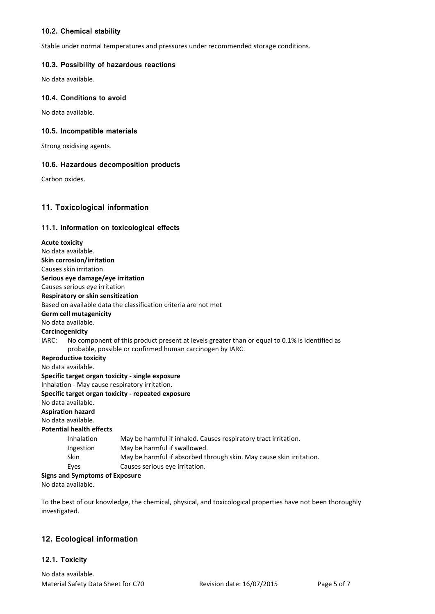### **10.2. Chemical stability**

Stable under normal temperatures and pressures under recommended storage conditions.

# **10.3. Possibility of hazardous reactions**

No data available.

### **10.4. Conditions to avoid**

No data available.

### **10.5. Incompatible materials**

Strong oxidising agents.

### **10.6. Hazardous decomposition products**

Carbon oxides.

# **11. Toxicological information**

### **11.1. Information on toxicological effects**

| <b>Acute toxicity</b>                                                                                  |
|--------------------------------------------------------------------------------------------------------|
| No data available.                                                                                     |
| <b>Skin corrosion/irritation</b>                                                                       |
| Causes skin irritation                                                                                 |
| Serious eye damage/eye irritation                                                                      |
| Causes serious eye irritation                                                                          |
| Respiratory or skin sensitization                                                                      |
| Based on available data the classification criteria are not met                                        |
| <b>Germ cell mutagenicity</b>                                                                          |
| No data available.                                                                                     |
| Carcinogenicity                                                                                        |
| No component of this product present at levels greater than or equal to 0.1% is identified as<br>IARC: |
| probable, possible or confirmed human carcinogen by IARC.                                              |
| <b>Reproductive toxicity</b>                                                                           |
| No data available.                                                                                     |
| Specific target organ toxicity - single exposure                                                       |
| Inhalation - May cause respiratory irritation.                                                         |
| Specific target organ toxicity - repeated exposure                                                     |
| No data available.                                                                                     |
| <b>Aspiration hazard</b>                                                                               |
| No data available.                                                                                     |
| <b>Potential health effects</b>                                                                        |
| Inhalation<br>May be harmful if inhaled. Causes respiratory tract irritation.                          |
| May be harmful if swallowed.<br>Ingestion                                                              |
| <b>Skin</b><br>May be harmful if absorbed through skin. May cause skin irritation.                     |
| Causes serious eye irritation.<br>Eyes                                                                 |
| <b>Signs and Symptoms of Exposure</b>                                                                  |
| No data available.                                                                                     |

To the best of our knowledge, the chemical, physical, and toxicological properties have not been thoroughly investigated.

### **12. Ecological information**

### **12.1. Toxicity**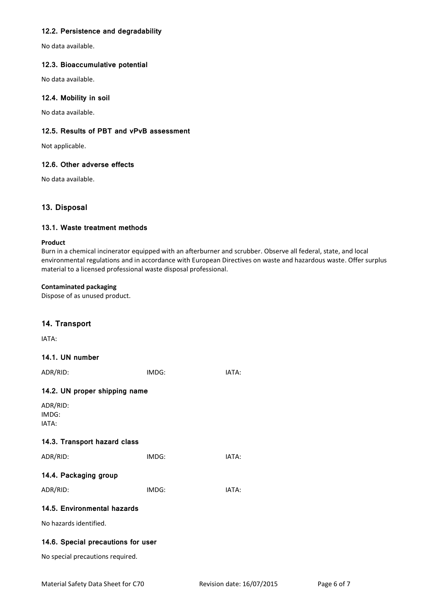### **12.2. Persistence and degradability**

No data available.

#### **12.3. Bioaccumulative potential**

No data available.

### **12.4. Mobility in soil**

No data available.

### **12.5. Results of PBT and vPvB assessment**

Not applicable.

### **12.6. Other adverse effects**

No data available.

# **13. Disposal**

### **13.1. Waste treatment methods**

#### **Product**

Burn in a chemical incinerator equipped with an afterburner and scrubber. Observe all federal, state, and local environmental regulations and in accordance with European Directives on waste and hazardous waste. Offer surplus material to a licensed professional waste disposal professional.

#### **Contaminated packaging**

Dispose of as unused product.

### **14. Transport**

IATA:

### **14.1. UN number**

| ADR/RID:                           | IMDG: | IATA: |  |
|------------------------------------|-------|-------|--|
| 14.2. UN proper shipping name      |       |       |  |
| ADR/RID:<br>IMDG:<br>IATA:         |       |       |  |
| 14.3. Transport hazard class       |       |       |  |
| ADR/RID:                           | IMDG: | IATA: |  |
| 14.4. Packaging group              |       |       |  |
| ADR/RID:                           | IMDG: | IATA: |  |
| 14.5. Environmental hazards        |       |       |  |
| No hazards identified.             |       |       |  |
| 14.6. Special precautions for user |       |       |  |
| No special precautions required.   |       |       |  |
|                                    |       |       |  |